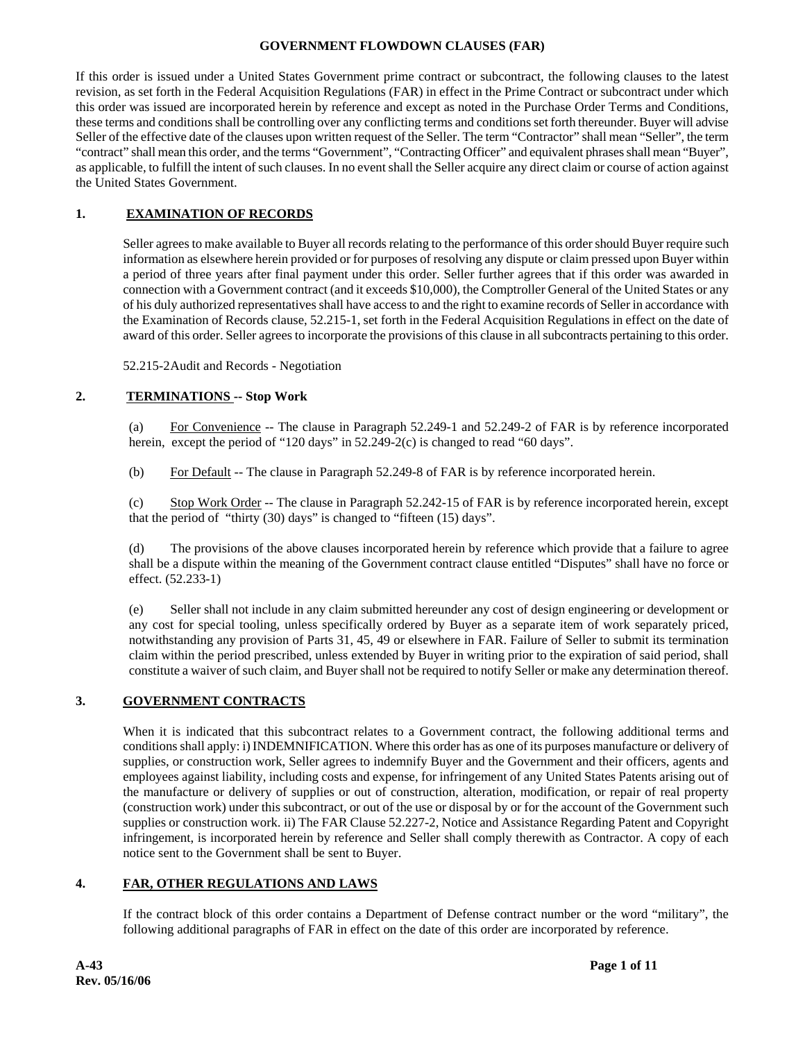#### **GOVERNMENT FLOWDOWN CLAUSES (FAR)**

If this order is issued under a United States Government prime contract or subcontract, the following clauses to the latest revision, as set forth in the Federal Acquisition Regulations (FAR) in effect in the Prime Contract or subcontract under which this order was issued are incorporated herein by reference and except as noted in the Purchase Order Terms and Conditions, these terms and conditions shall be controlling over any conflicting terms and conditions set forth thereunder. Buyer will advise Seller of the effective date of the clauses upon written request of the Seller. The term "Contractor" shall mean "Seller", the term "contract" shall mean this order, and the terms "Government", "Contracting Officer" and equivalent phrases shall mean "Buyer", as applicable, to fulfill the intent of such clauses. In no event shall the Seller acquire any direct claim or course of action against the United States Government.

# **1. EXAMINATION OF RECORDS**

Seller agrees to make available to Buyer all records relating to the performance of this order should Buyer require such information as elsewhere herein provided or for purposes of resolving any dispute or claim pressed upon Buyer within a period of three years after final payment under this order. Seller further agrees that if this order was awarded in connection with a Government contract (and it exceeds \$10,000), the Comptroller General of the United States or any of his duly authorized representatives shall have access to and the right to examine records of Seller in accordance with the Examination of Records clause, 52.215-1, set forth in the Federal Acquisition Regulations in effect on the date of award of this order. Seller agrees to incorporate the provisions of this clause in all subcontracts pertaining to this order.

52.215-2 Audit and Records - Negotiation

# **2. TERMINATIONS -- Stop Work**

 (a) For Convenience -- The clause in Paragraph 52.249-1 and 52.249-2 of FAR is by reference incorporated herein, except the period of "120 days" in 52.249-2(c) is changed to read "60 days".

(b) For Default -- The clause in Paragraph 52.249-8 of FAR is by reference incorporated herein.

 (c) Stop Work Order -- The clause in Paragraph 52.242-15 of FAR is by reference incorporated herein, except that the period of "thirty (30) days" is changed to "fifteen (15) days".

 (d) The provisions of the above clauses incorporated herein by reference which provide that a failure to agree shall be a dispute within the meaning of the Government contract clause entitled "Disputes" shall have no force or effect. (52.233-1)

(e) Seller shall not include in any claim submitted hereunder any cost of design engineering or development or any cost for special tooling, unless specifically ordered by Buyer as a separate item of work separately priced, notwithstanding any provision of Parts 31, 45, 49 or elsewhere in FAR. Failure of Seller to submit its termination claim within the period prescribed, unless extended by Buyer in writing prior to the expiration of said period, shall constitute a waiver of such claim, and Buyer shall not be required to notify Seller or make any determination thereof.

## **3. GOVERNMENT CONTRACTS**

When it is indicated that this subcontract relates to a Government contract, the following additional terms and conditions shall apply: i) INDEMNIFICATION. Where this order has as one of its purposes manufacture or delivery of supplies, or construction work, Seller agrees to indemnify Buyer and the Government and their officers, agents and employees against liability, including costs and expense, for infringement of any United States Patents arising out of the manufacture or delivery of supplies or out of construction, alteration, modification, or repair of real property (construction work) under this subcontract, or out of the use or disposal by or for the account of the Government such supplies or construction work. ii) The FAR Clause 52.227-2, Notice and Assistance Regarding Patent and Copyright infringement, is incorporated herein by reference and Seller shall comply therewith as Contractor. A copy of each notice sent to the Government shall be sent to Buyer.

## **4. FAR, OTHER REGULATIONS AND LAWS**

If the contract block of this order contains a Department of Defense contract number or the word "military", the following additional paragraphs of FAR in effect on the date of this order are incorporated by reference.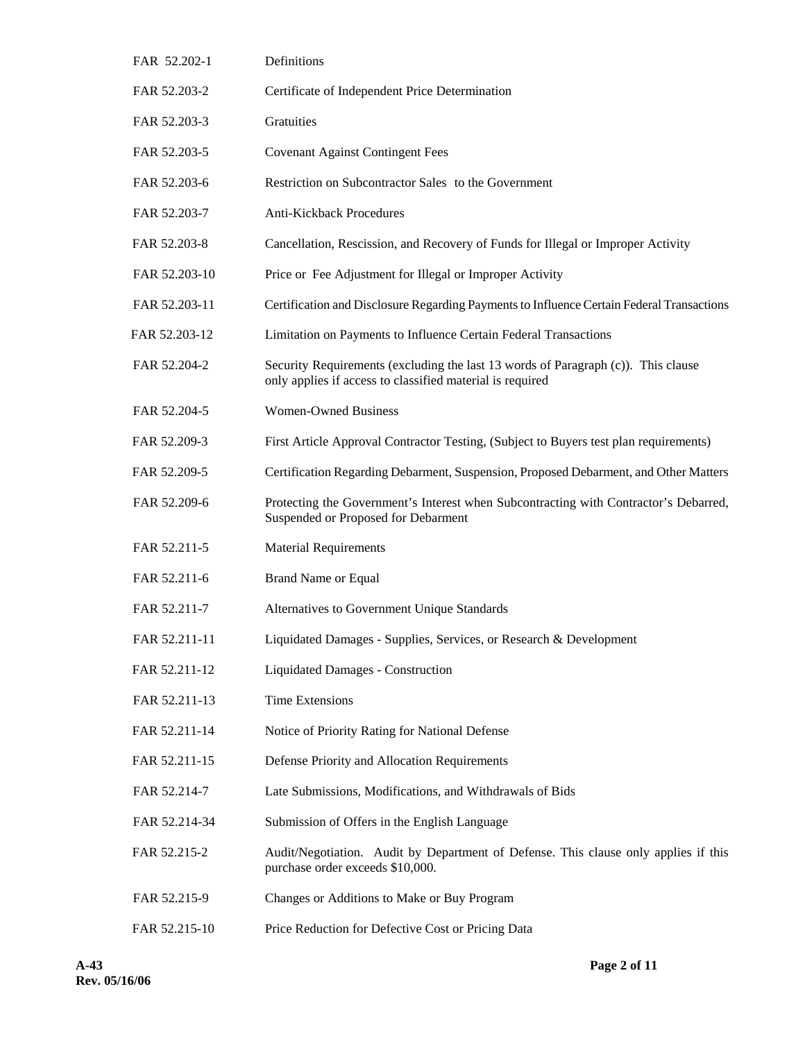| FAR 52.202-1  | Definitions                                                                                                                                    |
|---------------|------------------------------------------------------------------------------------------------------------------------------------------------|
| FAR 52.203-2  | Certificate of Independent Price Determination                                                                                                 |
| FAR 52.203-3  | Gratuities                                                                                                                                     |
| FAR 52.203-5  | <b>Covenant Against Contingent Fees</b>                                                                                                        |
| FAR 52.203-6  | Restriction on Subcontractor Sales to the Government                                                                                           |
| FAR 52.203-7  | <b>Anti-Kickback Procedures</b>                                                                                                                |
| FAR 52.203-8  | Cancellation, Rescission, and Recovery of Funds for Illegal or Improper Activity                                                               |
| FAR 52.203-10 | Price or Fee Adjustment for Illegal or Improper Activity                                                                                       |
| FAR 52.203-11 | Certification and Disclosure Regarding Payments to Influence Certain Federal Transactions                                                      |
| FAR 52.203-12 | Limitation on Payments to Influence Certain Federal Transactions                                                                               |
| FAR 52.204-2  | Security Requirements (excluding the last 13 words of Paragraph (c)). This clause<br>only applies if access to classified material is required |
| FAR 52.204-5  | <b>Women-Owned Business</b>                                                                                                                    |
| FAR 52.209-3  | First Article Approval Contractor Testing, (Subject to Buyers test plan requirements)                                                          |
| FAR 52.209-5  | Certification Regarding Debarment, Suspension, Proposed Debarment, and Other Matters                                                           |
| FAR 52.209-6  | Protecting the Government's Interest when Subcontracting with Contractor's Debarred,<br>Suspended or Proposed for Debarment                    |
| FAR 52.211-5  | <b>Material Requirements</b>                                                                                                                   |
| FAR 52.211-6  | <b>Brand Name or Equal</b>                                                                                                                     |
| FAR 52.211-7  | Alternatives to Government Unique Standards                                                                                                    |
| FAR 52.211-11 | Liquidated Damages - Supplies, Services, or Research & Development                                                                             |
| FAR 52.211-12 | Liquidated Damages - Construction                                                                                                              |
| FAR 52.211-13 | <b>Time Extensions</b>                                                                                                                         |
| FAR 52.211-14 | Notice of Priority Rating for National Defense                                                                                                 |
| FAR 52.211-15 | Defense Priority and Allocation Requirements                                                                                                   |
| FAR 52.214-7  | Late Submissions, Modifications, and Withdrawals of Bids                                                                                       |
| FAR 52.214-34 | Submission of Offers in the English Language                                                                                                   |
| FAR 52.215-2  | Audit/Negotiation. Audit by Department of Defense. This clause only applies if this<br>purchase order exceeds \$10,000.                        |
| FAR 52.215-9  | Changes or Additions to Make or Buy Program                                                                                                    |
| FAR 52.215-10 | Price Reduction for Defective Cost or Pricing Data                                                                                             |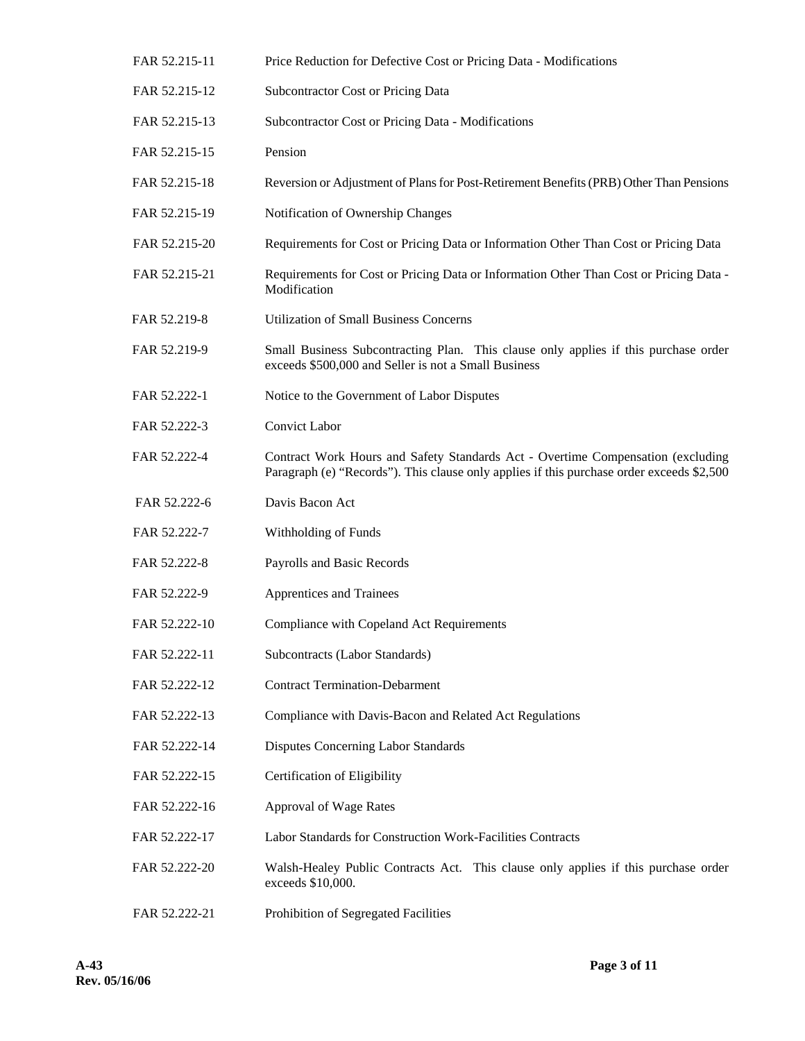| FAR 52.215-11 | Price Reduction for Defective Cost or Pricing Data - Modifications                                                                                                           |
|---------------|------------------------------------------------------------------------------------------------------------------------------------------------------------------------------|
| FAR 52.215-12 | Subcontractor Cost or Pricing Data                                                                                                                                           |
| FAR 52.215-13 | Subcontractor Cost or Pricing Data - Modifications                                                                                                                           |
| FAR 52.215-15 | Pension                                                                                                                                                                      |
| FAR 52.215-18 | Reversion or Adjustment of Plans for Post-Retirement Benefits (PRB) Other Than Pensions                                                                                      |
| FAR 52.215-19 | Notification of Ownership Changes                                                                                                                                            |
| FAR 52.215-20 | Requirements for Cost or Pricing Data or Information Other Than Cost or Pricing Data                                                                                         |
| FAR 52.215-21 | Requirements for Cost or Pricing Data or Information Other Than Cost or Pricing Data -<br>Modification                                                                       |
| FAR 52.219-8  | <b>Utilization of Small Business Concerns</b>                                                                                                                                |
| FAR 52.219-9  | Small Business Subcontracting Plan. This clause only applies if this purchase order<br>exceeds \$500,000 and Seller is not a Small Business                                  |
| FAR 52.222-1  | Notice to the Government of Labor Disputes                                                                                                                                   |
| FAR 52.222-3  | <b>Convict Labor</b>                                                                                                                                                         |
| FAR 52.222-4  | Contract Work Hours and Safety Standards Act - Overtime Compensation (excluding<br>Paragraph (e) "Records"). This clause only applies if this purchase order exceeds \$2,500 |
| FAR 52.222-6  | Davis Bacon Act                                                                                                                                                              |
| FAR 52.222-7  | Withholding of Funds                                                                                                                                                         |
| FAR 52.222-8  | Payrolls and Basic Records                                                                                                                                                   |
| FAR 52.222-9  | Apprentices and Trainees                                                                                                                                                     |
| FAR 52.222-10 | Compliance with Copeland Act Requirements                                                                                                                                    |
| FAR 52.222-11 | Subcontracts (Labor Standards)                                                                                                                                               |
| FAR 52.222-12 | <b>Contract Termination-Debarment</b>                                                                                                                                        |
| FAR 52.222-13 | Compliance with Davis-Bacon and Related Act Regulations                                                                                                                      |
| FAR 52.222-14 | Disputes Concerning Labor Standards                                                                                                                                          |
| FAR 52.222-15 | Certification of Eligibility                                                                                                                                                 |
| FAR 52.222-16 | Approval of Wage Rates                                                                                                                                                       |
| FAR 52.222-17 | Labor Standards for Construction Work-Facilities Contracts                                                                                                                   |
| FAR 52.222-20 | Walsh-Healey Public Contracts Act. This clause only applies if this purchase order<br>exceeds \$10,000.                                                                      |
| FAR 52.222-21 | Prohibition of Segregated Facilities                                                                                                                                         |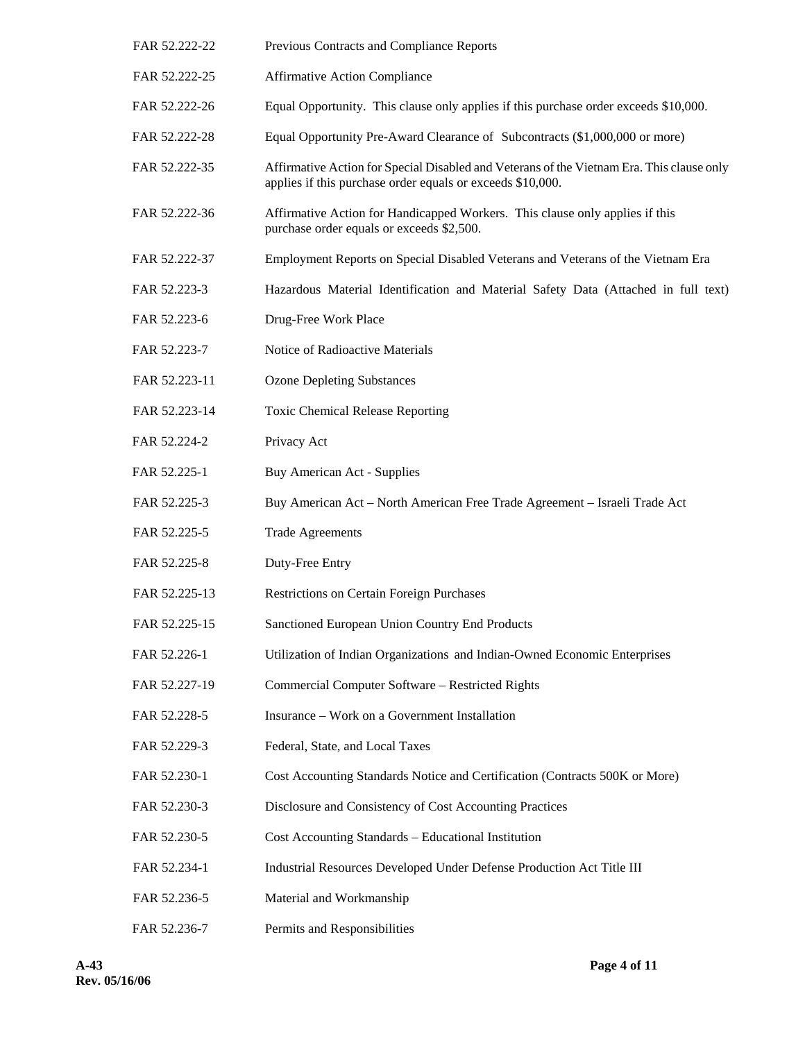- FAR 52.222-22 Previous Contracts and Compliance Reports FAR 52.222-25 Affirmative Action Compliance FAR 52.222-26 Equal Opportunity. This clause only applies if this purchase order exceeds \$10,000. FAR 52.222-28 Equal Opportunity Pre-Award Clearance of Subcontracts (\$1,000,000 or more) FAR 52.222-35 Affirmative Action for Special Disabled and Veterans of the Vietnam Era. This clause only applies if this purchase order equals or exceeds \$10,000. FAR 52.222-36 Affirmative Action for Handicapped Workers. This clause only applies if this purchase order equals or exceeds \$2,500. FAR 52.222-37 Employment Reports on Special Disabled Veterans and Veterans of the Vietnam Era FAR 52.223-3 Hazardous Material Identification and Material Safety Data (Attached in full text) FAR 52.223-6 Drug-Free Work Place FAR 52.223-7 Notice of Radioactive Materials FAR 52.223-11 Ozone Depleting Substances FAR 52.223-14 Toxic Chemical Release Reporting FAR 52.224-2 Privacy Act FAR 52.225-1 Buy American Act - Supplies FAR 52.225-3 Buy American Act – North American Free Trade Agreement – Israeli Trade Act FAR 52.225-5 Trade Agreements FAR 52.225-8 Duty-Free Entry FAR 52.225-13 Restrictions on Certain Foreign Purchases FAR 52.225-15 Sanctioned European Union Country End Products FAR 52.226-1 Utilization of Indian Organizations and Indian-Owned Economic Enterprises FAR 52.227-19 Commercial Computer Software – Restricted Rights FAR 52.228-5 Insurance – Work on a Government Installation FAR 52.229-3 Federal, State, and Local Taxes FAR 52.230-1 Cost Accounting Standards Notice and Certification (Contracts 500K or More) FAR 52.230-3 Disclosure and Consistency of Cost Accounting Practices FAR 52.230-5 Cost Accounting Standards – Educational Institution FAR 52.234-1 Industrial Resources Developed Under Defense Production Act Title III FAR 52.236-5 Material and Workmanship
- FAR 52.236-7 Permits and Responsibilities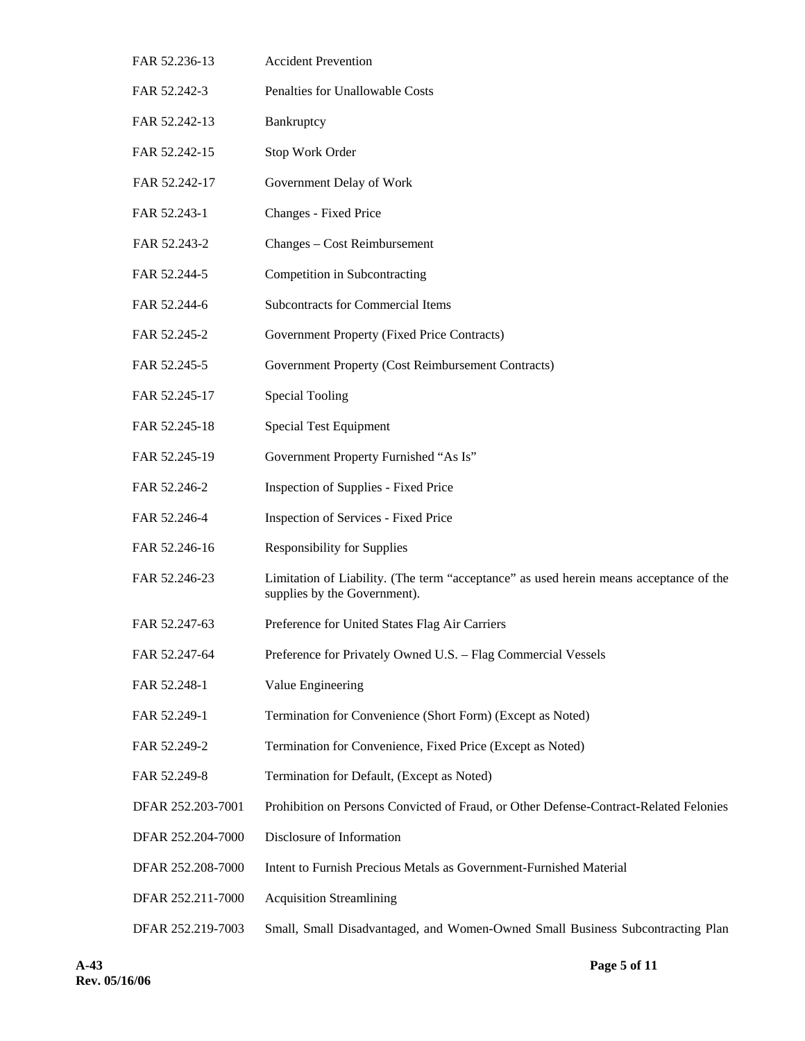| FAR 52.236-13     | <b>Accident Prevention</b>                                                                                             |
|-------------------|------------------------------------------------------------------------------------------------------------------------|
| FAR 52.242-3      | Penalties for Unallowable Costs                                                                                        |
| FAR 52.242-13     | Bankruptcy                                                                                                             |
| FAR 52.242-15     | Stop Work Order                                                                                                        |
| FAR 52.242-17     | Government Delay of Work                                                                                               |
| FAR 52.243-1      | Changes - Fixed Price                                                                                                  |
| FAR 52.243-2      | Changes - Cost Reimbursement                                                                                           |
| FAR 52.244-5      | Competition in Subcontracting                                                                                          |
| FAR 52.244-6      | <b>Subcontracts for Commercial Items</b>                                                                               |
| FAR 52.245-2      | Government Property (Fixed Price Contracts)                                                                            |
| FAR 52.245-5      | Government Property (Cost Reimbursement Contracts)                                                                     |
| FAR 52.245-17     | <b>Special Tooling</b>                                                                                                 |
| FAR 52.245-18     | <b>Special Test Equipment</b>                                                                                          |
| FAR 52.245-19     | Government Property Furnished "As Is"                                                                                  |
| FAR 52.246-2      | <b>Inspection of Supplies - Fixed Price</b>                                                                            |
| FAR 52.246-4      | <b>Inspection of Services - Fixed Price</b>                                                                            |
| FAR 52.246-16     | <b>Responsibility for Supplies</b>                                                                                     |
| FAR 52.246-23     | Limitation of Liability. (The term "acceptance" as used herein means acceptance of the<br>supplies by the Government). |
| FAR 52.247-63     | Preference for United States Flag Air Carriers                                                                         |
| FAR 52.247-64     | Preference for Privately Owned U.S. - Flag Commercial Vessels                                                          |
| FAR 52.248-1      | Value Engineering                                                                                                      |
| FAR 52.249-1      | Termination for Convenience (Short Form) (Except as Noted)                                                             |
| FAR 52.249-2      | Termination for Convenience, Fixed Price (Except as Noted)                                                             |
| FAR 52.249-8      | Termination for Default, (Except as Noted)                                                                             |
| DFAR 252.203-7001 | Prohibition on Persons Convicted of Fraud, or Other Defense-Contract-Related Felonies                                  |
| DFAR 252.204-7000 | Disclosure of Information                                                                                              |
| DFAR 252.208-7000 | Intent to Furnish Precious Metals as Government-Furnished Material                                                     |
| DFAR 252.211-7000 | <b>Acquisition Streamlining</b>                                                                                        |
| DFAR 252.219-7003 | Small, Small Disadvantaged, and Women-Owned Small Business Subcontracting Plan                                         |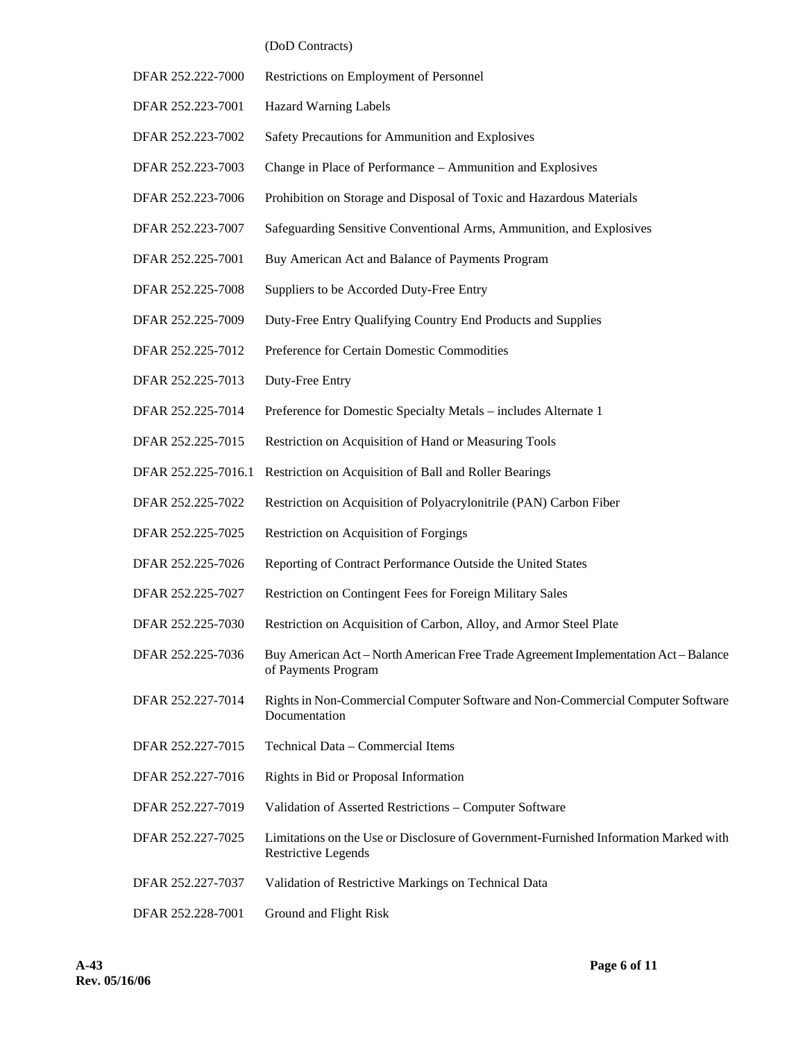#### (DoD Contracts)

- DFAR 252.222-7000 Restrictions on Employment of Personnel
- DFAR 252.223-7001 Hazard Warning Labels
- DFAR 252.223-7002 Safety Precautions for Ammunition and Explosives
- DFAR 252.223-7003 Change in Place of Performance Ammunition and Explosives
- DFAR 252.223-7006 Prohibition on Storage and Disposal of Toxic and Hazardous Materials
- DFAR 252.223-7007 Safeguarding Sensitive Conventional Arms, Ammunition, and Explosives
- DFAR 252.225-7001 Buy American Act and Balance of Payments Program
- DFAR 252.225-7008 Suppliers to be Accorded Duty-Free Entry
- DFAR 252.225-7009 Duty-Free Entry Qualifying Country End Products and Supplies
- DFAR 252.225-7012 Preference for Certain Domestic Commodities
- DFAR 252.225-7013 Duty-Free Entry
- DFAR 252.225-7014 Preference for Domestic Specialty Metals includes Alternate 1
- DFAR 252.225-7015 Restriction on Acquisition of Hand or Measuring Tools
- DFAR 252.225-7016.1 Restriction on Acquisition of Ball and Roller Bearings
- DFAR 252.225-7022 Restriction on Acquisition of Polyacrylonitrile (PAN) Carbon Fiber
- DFAR 252.225-7025 Restriction on Acquisition of Forgings
- DFAR 252.225-7026 Reporting of Contract Performance Outside the United States
- DFAR 252.225-7027 Restriction on Contingent Fees for Foreign Military Sales
- DFAR 252.225-7030 Restriction on Acquisition of Carbon, Alloy, and Armor Steel Plate
- DFAR 252.225-7036 Buy American Act North American Free Trade Agreement Implementation Act Balance of Payments Program
- DFAR 252.227-7014 Rights in Non-Commercial Computer Software and Non-Commercial Computer Software Documentation
- DFAR 252.227-7015 Technical Data Commercial Items
- DFAR 252.227-7016 Rights in Bid or Proposal Information
- DFAR 252.227-7019 Validation of Asserted Restrictions Computer Software
- DFAR 252.227-7025 Limitations on the Use or Disclosure of Government-Furnished Information Marked with Restrictive Legends
- DFAR 252.227-7037 Validation of Restrictive Markings on Technical Data
- DFAR 252.228-7001 Ground and Flight Risk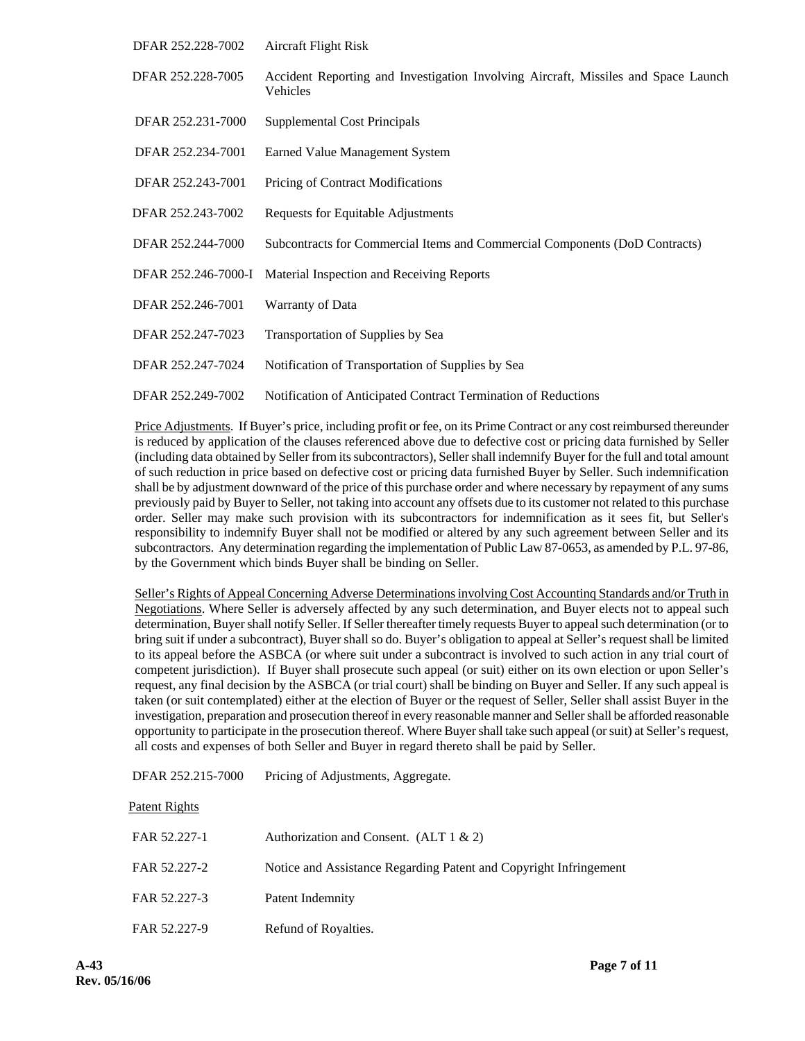| DFAR 252.228-7002   | <b>Aircraft Flight Risk</b>                                                                    |
|---------------------|------------------------------------------------------------------------------------------------|
| DFAR 252.228-7005   | Accident Reporting and Investigation Involving Aircraft, Missiles and Space Launch<br>Vehicles |
| DFAR 252.231-7000   | Supplemental Cost Principals                                                                   |
| DFAR 252.234-7001   | Earned Value Management System                                                                 |
| DFAR 252.243-7001   | Pricing of Contract Modifications                                                              |
| DFAR 252.243-7002   | Requests for Equitable Adjustments                                                             |
| DFAR 252.244-7000   | Subcontracts for Commercial Items and Commercial Components (DoD Contracts)                    |
| DFAR 252.246-7000-I | Material Inspection and Receiving Reports                                                      |
| DFAR 252.246-7001   | Warranty of Data                                                                               |
| DFAR 252.247-7023   | Transportation of Supplies by Sea                                                              |
| DFAR 252.247-7024   | Notification of Transportation of Supplies by Sea                                              |
| DFAR 252.249-7002   | Notification of Anticipated Contract Termination of Reductions                                 |

 Price Adjustments. If Buyer's price, including profit or fee, on its Prime Contract or any cost reimbursed thereunder is reduced by application of the clauses referenced above due to defective cost or pricing data furnished by Seller (including data obtained by Seller from its subcontractors), Seller shall indemnify Buyer for the full and total amount of such reduction in price based on defective cost or pricing data furnished Buyer by Seller. Such indemnification shall be by adjustment downward of the price of this purchase order and where necessary by repayment of any sums previously paid by Buyer to Seller, not taking into account any offsets due to its customer not related to this purchase order. Seller may make such provision with its subcontractors for indemnification as it sees fit, but Seller's responsibility to indemnify Buyer shall not be modified or altered by any such agreement between Seller and its subcontractors. Any determination regarding the implementation of Public Law 87-0653, as amended by P.L. 97-86, by the Government which binds Buyer shall be binding on Seller.

Seller's Rights of Appeal Concerning Adverse Determinations involving Cost Accountinq Standards and/or Truth in Negotiations. Where Seller is adversely affected by any such determination, and Buyer elects not to appeal such determination, Buyer shall notify Seller. If Seller thereafter timely requests Buyer to appeal such determination (or to bring suit if under a subcontract), Buyer shall so do. Buyer's obligation to appeal at Seller's request shall be limited to its appeal before the ASBCA (or where suit under a subcontract is involved to such action in any trial court of competent jurisdiction). If Buyer shall prosecute such appeal (or suit) either on its own election or upon Seller's request, any final decision by the ASBCA (or trial court) shall be binding on Buyer and Seller. If any such appeal is taken (or suit contemplated) either at the election of Buyer or the request of Seller, Seller shall assist Buyer in the investigation, preparation and prosecution thereof in every reasonable manner and Seller shall be afforded reasonable opportunity to participate in the prosecution thereof. Where Buyer shall take such appeal (or suit) at Seller's request, all costs and expenses of both Seller and Buyer in regard thereto shall be paid by Seller.

DFAR 252.215-7000 Pricing of Adjustments, Aggregate.

Patent Rights

| FAR 52.227-1 | Authorization and Consent. (ALT $1 \& 2$ )                        |
|--------------|-------------------------------------------------------------------|
| FAR 52.227-2 | Notice and Assistance Regarding Patent and Copyright Infringement |
| FAR 52.227-3 | Patent Indemnity                                                  |
| FAR 52.227-9 | Refund of Royalties.                                              |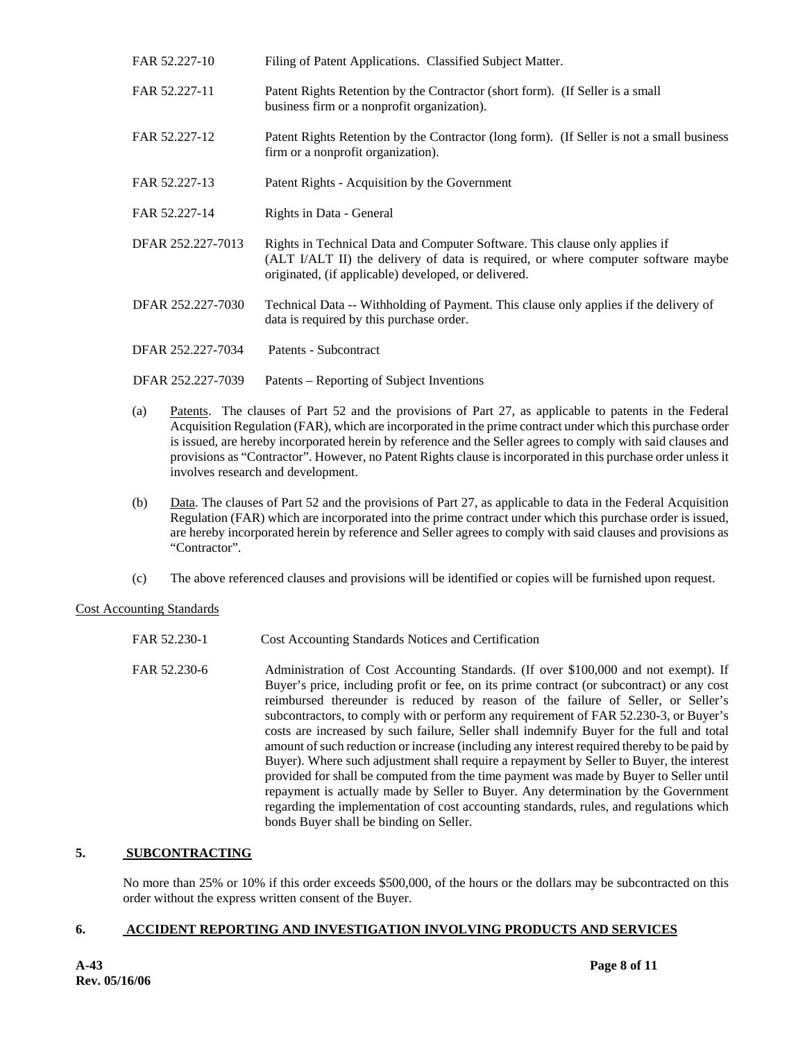| FAR 52.227-10     | Filing of Patent Applications. Classified Subject Matter.                                                                                                                                                                |
|-------------------|--------------------------------------------------------------------------------------------------------------------------------------------------------------------------------------------------------------------------|
| FAR 52.227-11     | Patent Rights Retention by the Contractor (short form). (If Seller is a small<br>business firm or a nonprofit organization).                                                                                             |
| FAR 52.227-12     | Patent Rights Retention by the Contractor (long form). (If Seller is not a small business<br>firm or a nonprofit organization).                                                                                          |
| FAR 52.227-13     | Patent Rights - Acquisition by the Government                                                                                                                                                                            |
| FAR 52.227-14     | Rights in Data - General                                                                                                                                                                                                 |
| DFAR 252.227-7013 | Rights in Technical Data and Computer Software. This clause only applies if<br>(ALT I/ALT II) the delivery of data is required, or where computer software maybe<br>originated, (if applicable) developed, or delivered. |
| DFAR 252.227-7030 | Technical Data -- Withholding of Payment. This clause only applies if the delivery of<br>data is required by this purchase order.                                                                                        |
| DFAR 252.227-7034 | Patents - Subcontract                                                                                                                                                                                                    |
| DFAR 252.227-7039 | Patents – Reporting of Subject Inventions                                                                                                                                                                                |

- (a) Patents. The clauses of Part 52 and the provisions of Part 27, as applicable to patents in the Federal Acquisition Regulation (FAR), which are incorporated in the prime contract under which this purchase order is issued, are hereby incorporated herein by reference and the Seller agrees to comply with said clauses and provisions as "Contractor". However, no Patent Rights clause is incorporated in this purchase order unless it involves research and development.
- (b) Data. The clauses of Part 52 and the provisions of Part 27, as applicable to data in the Federal Acquisition Regulation (FAR) which are incorporated into the prime contract under which this purchase order is issued, are hereby incorporated herein by reference and Seller agrees to comply with said clauses and provisions as "Contractor".
- (c) The above referenced clauses and provisions will be identified or copies will be furnished upon request.

## Cost Accounting Standards

- FAR 52.230-1 Cost Accounting Standards Notices and Certification
- FAR 52.230-6 Administration of Cost Accounting Standards. (If over \$100,000 and not exempt). If Buyer's price, including profit or fee, on its prime contract (or subcontract) or any cost reimbursed thereunder is reduced by reason of the failure of Seller, or Seller's subcontractors, to comply with or perform any requirement of FAR 52.230-3, or Buyer's costs are increased by such failure, Seller shall indemnify Buyer for the full and total amount of such reduction or increase (including any interest required thereby to be paid by Buyer). Where such adjustment shall require a repayment by Seller to Buyer, the interest provided for shall be computed from the time payment was made by Buyer to Seller until repayment is actually made by Seller to Buyer. Any determination by the Government regarding the implementation of cost accounting standards, rules, and regulations which bonds Buyer shall be binding on Seller.

## **5. SUBCONTRACTING**

No more than 25% or 10% if this order exceeds \$500,000, of the hours or the dollars may be subcontracted on this order without the express written consent of the Buyer.

## **6. ACCIDENT REPORTING AND INVESTIGATION INVOLVING PRODUCTS AND SERVICES**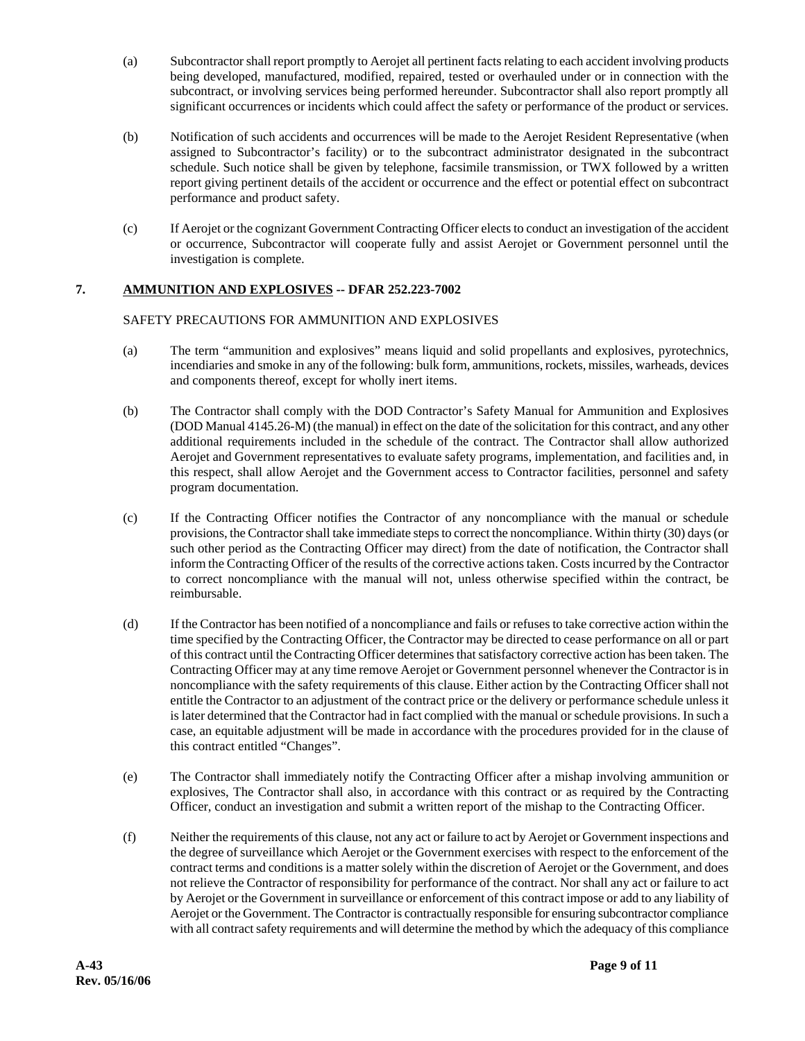- (a) Subcontractor shall report promptly to Aerojet all pertinent facts relating to each accident involving products being developed, manufactured, modified, repaired, tested or overhauled under or in connection with the subcontract, or involving services being performed hereunder. Subcontractor shall also report promptly all significant occurrences or incidents which could affect the safety or performance of the product or services.
- (b) Notification of such accidents and occurrences will be made to the Aerojet Resident Representative (when assigned to Subcontractor's facility) or to the subcontract administrator designated in the subcontract schedule. Such notice shall be given by telephone, facsimile transmission, or TWX followed by a written report giving pertinent details of the accident or occurrence and the effect or potential effect on subcontract performance and product safety.
- (c) If Aerojet or the cognizant Government Contracting Officer elects to conduct an investigation of the accident or occurrence, Subcontractor will cooperate fully and assist Aerojet or Government personnel until the investigation is complete.

# **7. AMMUNITION AND EXPLOSIVES -- DFAR 252.223-7002**

#### SAFETY PRECAUTIONS FOR AMMUNITION AND EXPLOSIVES

- (a) The term "ammunition and explosives" means liquid and solid propellants and explosives, pyrotechnics, incendiaries and smoke in any of the following: bulk form, ammunitions, rockets, missiles, warheads, devices and components thereof, except for wholly inert items.
- (b) The Contractor shall comply with the DOD Contractor's Safety Manual for Ammunition and Explosives (DOD Manual 4145.26-M) (the manual) in effect on the date of the solicitation for this contract, and any other additional requirements included in the schedule of the contract. The Contractor shall allow authorized Aerojet and Government representatives to evaluate safety programs, implementation, and facilities and, in this respect, shall allow Aerojet and the Government access to Contractor facilities, personnel and safety program documentation.
- (c) If the Contracting Officer notifies the Contractor of any noncompliance with the manual or schedule provisions, the Contractor shall take immediate steps to correct the noncompliance. Within thirty (30) days (or such other period as the Contracting Officer may direct) from the date of notification, the Contractor shall inform the Contracting Officer of the results of the corrective actions taken. Costs incurred by the Contractor to correct noncompliance with the manual will not, unless otherwise specified within the contract, be reimbursable.
- (d) If the Contractor has been notified of a noncompliance and fails or refuses to take corrective action within the time specified by the Contracting Officer, the Contractor may be directed to cease performance on all or part of this contract until the Contracting Officer determines that satisfactory corrective action has been taken. The Contracting Officer may at any time remove Aerojet or Government personnel whenever the Contractor is in noncompliance with the safety requirements of this clause. Either action by the Contracting Officer shall not entitle the Contractor to an adjustment of the contract price or the delivery or performance schedule unless it is later determined that the Contractor had in fact complied with the manual or schedule provisions. In such a case, an equitable adjustment will be made in accordance with the procedures provided for in the clause of this contract entitled "Changes".
- (e) The Contractor shall immediately notify the Contracting Officer after a mishap involving ammunition or explosives, The Contractor shall also, in accordance with this contract or as required by the Contracting Officer, conduct an investigation and submit a written report of the mishap to the Contracting Officer.
- (f) Neither the requirements of this clause, not any act or failure to act by Aerojet or Government inspections and the degree of surveillance which Aerojet or the Government exercises with respect to the enforcement of the contract terms and conditions is a matter solely within the discretion of Aerojet or the Government, and does not relieve the Contractor of responsibility for performance of the contract. Nor shall any act or failure to act by Aerojet or the Government in surveillance or enforcement of this contract impose or add to any liability of Aerojet or the Government. The Contractor is contractually responsible for ensuring subcontractor compliance with all contract safety requirements and will determine the method by which the adequacy of this compliance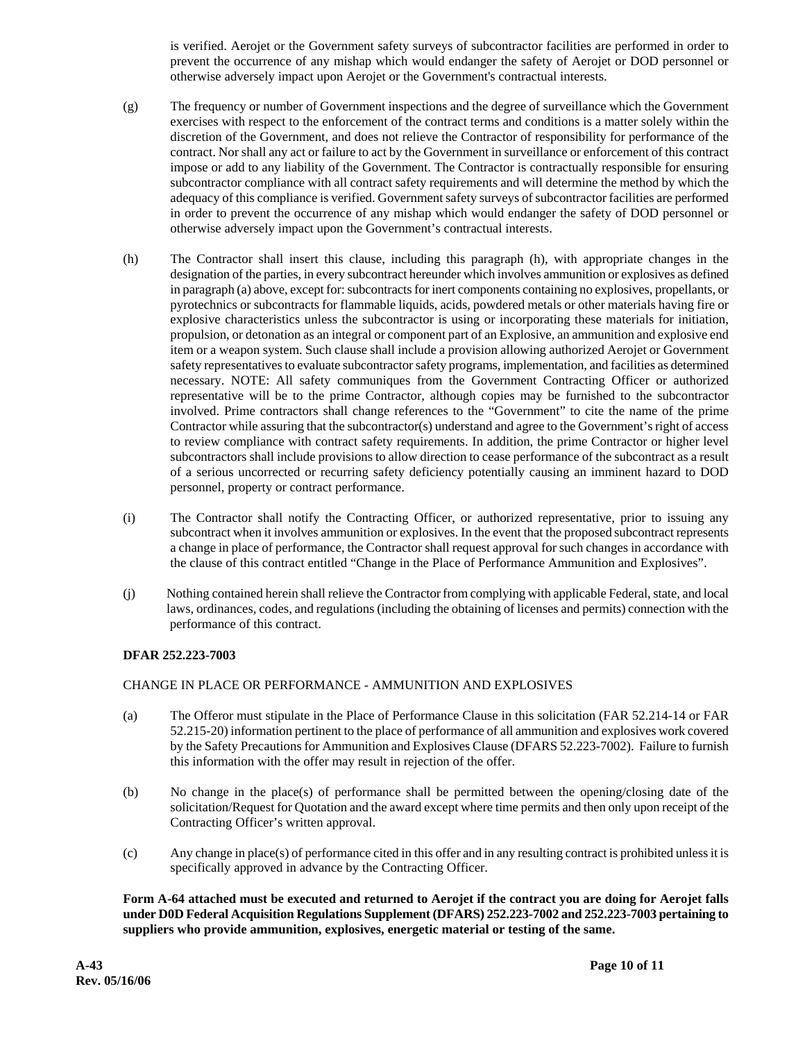is verified. Aerojet or the Government safety surveys of subcontractor facilities are performed in order to prevent the occurrence of any mishap which would endanger the safety of Aerojet or DOD personnel or otherwise adversely impact upon Aerojet or the Government's contractual interests.

- (g) The frequency or number of Government inspections and the degree of surveillance which the Government exercises with respect to the enforcement of the contract terms and conditions is a matter solely within the discretion of the Government, and does not relieve the Contractor of responsibility for performance of the contract. Nor shall any act or failure to act by the Government in surveillance or enforcement of this contract impose or add to any liability of the Government. The Contractor is contractually responsible for ensuring subcontractor compliance with all contract safety requirements and will determine the method by which the adequacy of this compliance is verified. Government safety surveys of subcontractor facilities are performed in order to prevent the occurrence of any mishap which would endanger the safety of DOD personnel or otherwise adversely impact upon the Government's contractual interests.
- (h) The Contractor shall insert this clause, including this paragraph (h), with appropriate changes in the designation of the parties, in every subcontract hereunder which involves ammunition or explosives as defined in paragraph (a) above, except for: subcontracts for inert components containing no explosives, propellants, or pyrotechnics or subcontracts for flammable liquids, acids, powdered metals or other materials having fire or explosive characteristics unless the subcontractor is using or incorporating these materials for initiation, propulsion, or detonation as an integral or component part of an Explosive, an ammunition and explosive end item or a weapon system. Such clause shall include a provision allowing authorized Aerojet or Government safety representatives to evaluate subcontractor safety programs, implementation, and facilities as determined necessary. NOTE: All safety communiques from the Government Contracting Officer or authorized representative will be to the prime Contractor, although copies may be furnished to the subcontractor involved. Prime contractors shall change references to the "Government" to cite the name of the prime Contractor while assuring that the subcontractor(s) understand and agree to the Government's right of access to review compliance with contract safety requirements. In addition, the prime Contractor or higher level subcontractors shall include provisions to allow direction to cease performance of the subcontract as a result of a serious uncorrected or recurring safety deficiency potentially causing an imminent hazard to DOD personnel, property or contract performance.
- (i) The Contractor shall notify the Contracting Officer, or authorized representative, prior to issuing any subcontract when it involves ammunition or explosives. In the event that the proposed subcontract represents a change in place of performance, the Contractor shall request approval for such changes in accordance with the clause of this contract entitled "Change in the Place of Performance Ammunition and Explosives".
- (j) Nothing contained herein shall relieve the Contractor from complying with applicable Federal, state, and local laws, ordinances, codes, and regulations (including the obtaining of licenses and permits) connection with the performance of this contract.

#### **DFAR 252.223-7003**

#### CHANGE IN PLACE OR PERFORMANCE - AMMUNITION AND EXPLOSIVES

- (a) The Offeror must stipulate in the Place of Performance Clause in this solicitation (FAR 52.214-14 or FAR 52.215-20) information pertinent to the place of performance of all ammunition and explosives work covered by the Safety Precautions for Ammunition and Explosives Clause (DFARS 52.223-7002). Failure to furnish this information with the offer may result in rejection of the offer.
- (b) No change in the place(s) of performance shall be permitted between the opening/closing date of the solicitation/Request for Quotation and the award except where time permits and then only upon receipt of the Contracting Officer's written approval.
- (c) Any change in place(s) of performance cited in this offer and in any resulting contract is prohibited unless it is specifically approved in advance by the Contracting Officer.

 **Form A-64 attached must be executed and returned to Aerojet if the contract you are doing for Aerojet falls under D0D Federal Acquisition Regulations Supplement (DFARS) 252.223-7002 and 252.223-7003 pertaining to suppliers who provide ammunition, explosives, energetic material or testing of the same.**